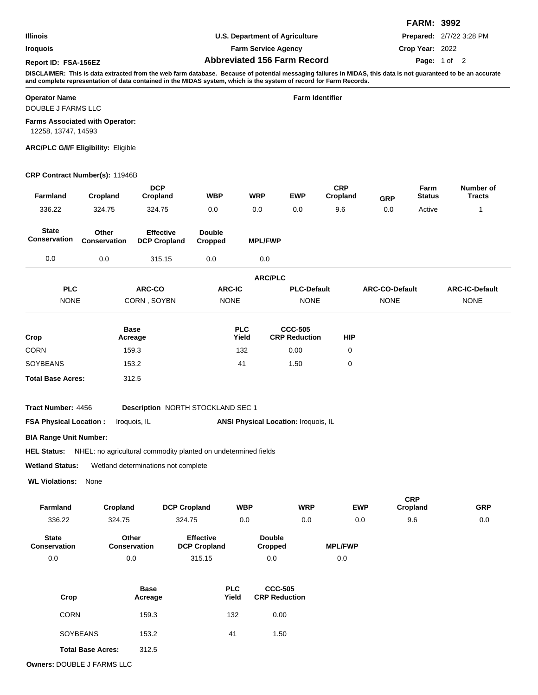**Iroquois**

**Farm Service Agency Abbreviated 156 Farm Record Report ID: FSA-156EZ Page:**

**U.S. Department of Agriculture**

**Prepared:** 2/7/22 3:28 PM

**Crop Year:** 2022

**FARM: 3992**

## Page: 1 of 2

**DISCLAIMER: This is data extracted from the web farm database. Because of potential messaging failures in MIDAS, this data is not guaranteed to be an accurate and complete representation of data contained in the MIDAS system, which is the system of record for Farm Records.**

### **Operator Name Farm Identifier**

DOUBLE J FARMS LLC

### **Farms Associated with Operator:**

12258, 13747, 14593

#### **ARC/PLC G/I/F Eligibility:** Eligible

#### **CRP Contract Number(s):** 11946B

| Farmland                                                                             | Cropland              | <b>DCP</b><br>Cropland                                         | <b>WBP</b>                              | <b>WRP</b>          | <b>EWP</b>                                  | <b>CRP</b><br>Cropland | <b>GRP</b>            | Farm<br><b>Status</b>  | Number of<br><b>Tracts</b> |
|--------------------------------------------------------------------------------------|-----------------------|----------------------------------------------------------------|-----------------------------------------|---------------------|---------------------------------------------|------------------------|-----------------------|------------------------|----------------------------|
| 336.22                                                                               | 324.75                | 324.75                                                         | 0.0                                     | 0.0                 | 0.0                                         | 9.6                    | 0.0                   | Active                 | 1                          |
| <b>State</b><br>Conservation                                                         | Other<br>Conservation | <b>Effective</b><br><b>DCP Cropland</b>                        | <b>Double</b><br>Cropped                | <b>MPL/FWP</b>      |                                             |                        |                       |                        |                            |
| 0.0                                                                                  | 0.0                   | 315.15                                                         | 0.0                                     | 0.0                 |                                             |                        |                       |                        |                            |
|                                                                                      |                       |                                                                |                                         | <b>ARC/PLC</b>      |                                             |                        |                       |                        |                            |
| <b>PLC</b>                                                                           |                       | ARC-CO                                                         | <b>ARC-IC</b>                           |                     | <b>PLC-Default</b>                          |                        | <b>ARC-CO-Default</b> |                        | <b>ARC-IC-Default</b>      |
| <b>NONE</b>                                                                          |                       | CORN, SOYBN                                                    | <b>NONE</b>                             |                     | <b>NONE</b>                                 |                        | <b>NONE</b>           |                        | <b>NONE</b>                |
| Crop                                                                                 |                       | <b>Base</b><br>Acreage                                         |                                         | <b>PLC</b><br>Yield | <b>CCC-505</b><br><b>CRP Reduction</b>      | <b>HIP</b>             |                       |                        |                            |
| <b>CORN</b>                                                                          |                       | 159.3                                                          |                                         | 132                 | 0.00                                        | 0                      |                       |                        |                            |
| <b>SOYBEANS</b>                                                                      |                       | 153.2                                                          |                                         | 41                  | 1.50                                        | 0                      |                       |                        |                            |
| <b>Total Base Acres:</b>                                                             |                       | 312.5                                                          |                                         |                     |                                             |                        |                       |                        |                            |
| Tract Number: 4456<br><b>FSA Physical Location:</b><br><b>BIA Range Unit Number:</b> |                       | <b>Description NORTH STOCKLAND SEC 1</b><br>Iroquois, IL       |                                         |                     | <b>ANSI Physical Location: Iroquois, IL</b> |                        |                       |                        |                            |
| <b>HEL Status:</b>                                                                   |                       | NHEL: no agricultural commodity planted on undetermined fields |                                         |                     |                                             |                        |                       |                        |                            |
| <b>Wetland Status:</b>                                                               |                       | Wetland determinations not complete                            |                                         |                     |                                             |                        |                       |                        |                            |
| <b>WL Violations:</b>                                                                | None                  |                                                                |                                         |                     |                                             |                        |                       |                        |                            |
| Farmland                                                                             | Cropland              | <b>DCP Cropland</b>                                            |                                         | <b>WBP</b>          | <b>WRP</b>                                  |                        | <b>EWP</b>            | <b>CRP</b><br>Cropland | <b>GRP</b>                 |
| 336.22                                                                               | 324.75                | 324.75                                                         |                                         | 0.0                 | 0.0                                         |                        | 0.0                   | 9.6                    | 0.0                        |
| <b>State</b><br><b>Conservation</b>                                                  |                       | Other<br><b>Conservation</b>                                   | <b>Effective</b><br><b>DCP Cropland</b> |                     | <b>Double</b><br><b>Cropped</b>             | <b>MPL/FWP</b>         |                       |                        |                            |
| 0.0                                                                                  |                       | 0.0                                                            | 315.15                                  |                     | 0.0                                         | 0.0                    |                       |                        |                            |
| Crop                                                                                 |                       | <b>Base</b><br>Acreage                                         |                                         | <b>PLC</b><br>Yield | <b>CCC-505</b><br><b>CRP Reduction</b>      |                        |                       |                        |                            |
| <b>CORN</b>                                                                          |                       | 159.3                                                          |                                         | 132                 | 0.00                                        |                        |                       |                        |                            |

SOYBEANS 153.2 41 1.50

**Owners:** DOUBLE J FARMS LLC